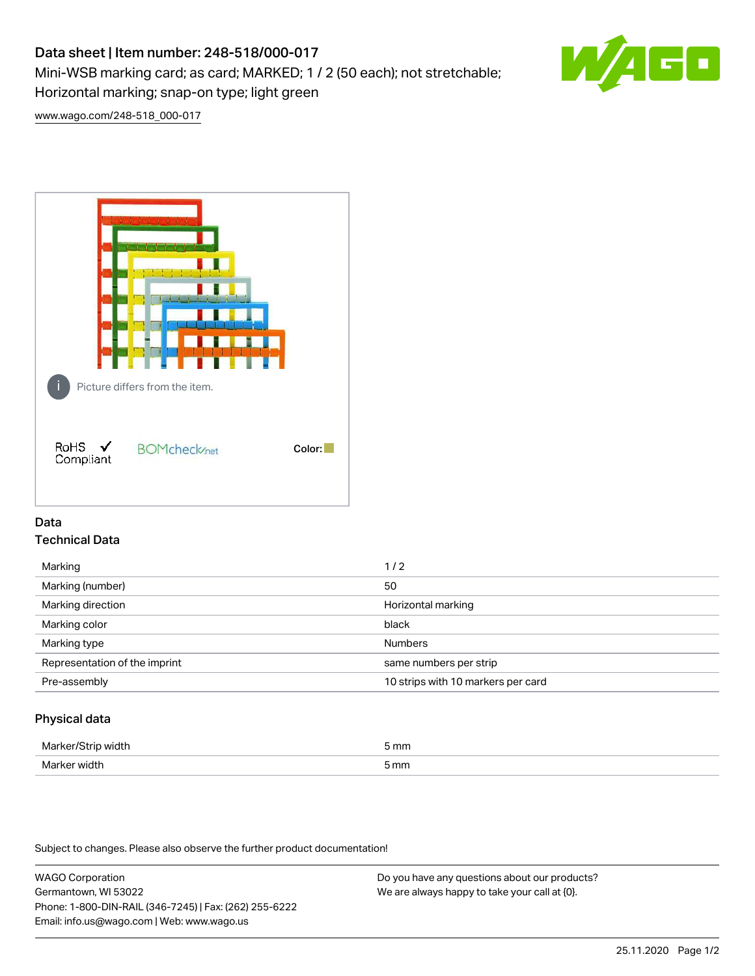# Data sheet | Item number: 248-518/000-017

Mini-WSB marking card; as card; MARKED; 1 / 2 (50 each); not stretchable;

Horizontal marking; snap-on type; light green

[www.wago.com/248-518\\_000-017](http://www.wago.com/248-518_000-017)



## Data Technical Data

| Marking                       | 1/2                                |
|-------------------------------|------------------------------------|
| Marking (number)              | 50                                 |
| Marking direction             | Horizontal marking                 |
| Marking color                 | black                              |
| Marking type                  | <b>Numbers</b>                     |
| Representation of the imprint | same numbers per strip             |
| Pre-assembly                  | 10 strips with 10 markers per card |
|                               |                                    |

## Physical data

| Marker/Strip width | 5 mm |
|--------------------|------|
| Marker width       | 5 mm |

Subject to changes. Please also observe the further product documentation!

WAGO Corporation Germantown, WI 53022 Phone: 1-800-DIN-RAIL (346-7245) | Fax: (262) 255-6222 Email: info.us@wago.com | Web: www.wago.us Do you have any questions about our products? We are always happy to take your call at {0}.

G۸